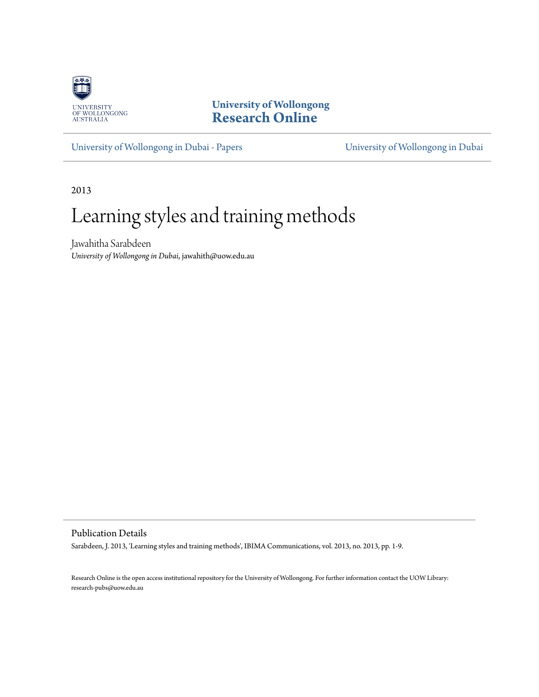

**University of Wollongong [Research Online](http://ro.uow.edu.au)**

[University of Wollongong in Dubai - Papers](http://ro.uow.edu.au/dubaipapers) [University of Wollongong in Dubai](http://ro.uow.edu.au/dubai)

2013

# Learning styles and training methods

Jawahitha Sarabdeen *University of Wollongong in Dubai*, jawahith@uow.edu.au

Publication Details

Sarabdeen, J. 2013, 'Learning styles and training methods', IBIMA Communications, vol. 2013, no. 2013, pp. 1-9.

Research Online is the open access institutional repository for the University of Wollongong. For further information contact the UOW Library: research-pubs@uow.edu.au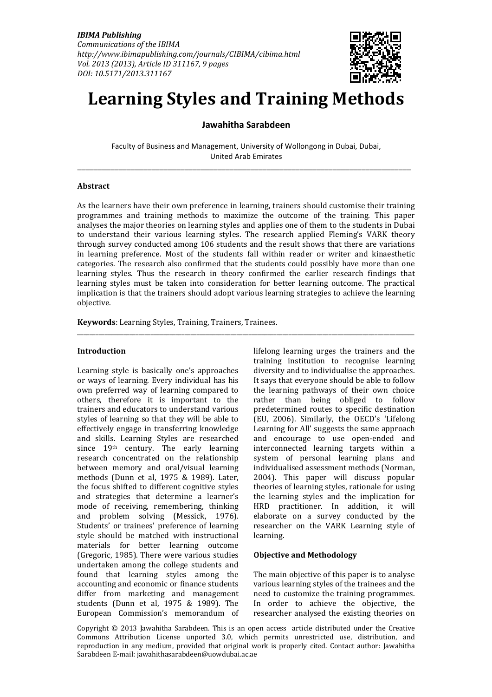

# **Learning Styles and Training Methods**

# **Jawahitha Sarabdeen**

Faculty of Business and Management, University of Wollongong in Dubai, Dubai, United Arab Emirates \_\_\_\_\_\_\_\_\_\_\_\_\_\_\_\_\_\_\_\_\_\_\_\_\_\_\_\_\_\_\_\_\_\_\_\_\_\_\_\_\_\_\_\_\_\_\_\_\_\_\_\_\_\_\_\_\_\_\_\_\_\_\_\_\_\_\_\_\_\_\_\_\_\_\_\_\_\_\_\_\_

#### **Abstract**

As the learners have their own preference in learning, trainers should customise their training programmes and training methods to maximize the outcome of the training. This paper analyses the major theories on learning styles and applies one of them to the students in Dubai to understand their various learning styles. The research applied Fleming's VARK theory through survey conducted among 106 students and the result shows that there are variations in learning preference. Most of the students fall within reader or writer and kinaesthetic categories. The research also confirmed that the students could possibly have more than one learning styles. Thus the research in theory confirmed the earlier research findings that learning styles must be taken into consideration for better learning outcome. The practical implication is that the trainers should adopt various learning strategies to achieve the learning objective.

\_\_\_\_\_\_\_\_\_\_\_\_\_\_\_\_\_\_\_\_\_\_\_\_\_\_\_\_\_\_\_\_\_\_\_\_\_\_\_\_\_\_\_\_\_\_\_\_\_\_\_\_\_\_\_\_\_\_\_\_\_\_\_\_\_\_\_\_\_\_\_\_\_\_\_\_\_\_\_\_\_\_\_\_\_\_\_\_\_\_\_\_\_\_\_\_\_\_\_\_\_\_\_\_\_\_\_\_\_\_

**Keywords**: Learning Styles, Training, Trainers, Trainees.

#### **Introduction**

Learning style is basically one's approaches or ways of learning. Every individual has his own preferred way of learning compared to others, therefore it is important to the trainers and educators to understand various styles of learning so that they will be able to effectively engage in transferring knowledge and skills. Learning Styles are researched since 19th century. The early learning research concentrated on the relationship between memory and oral/visual learning methods (Dunn et al, 1975 & 1989). Later, the focus shifted to different cognitive styles and strategies that determine a learner's mode of receiving, remembering, thinking and problem solving (Messick, 1976). Students' or trainees' preference of learning style should be matched with instructional materials for better learning outcome (Gregoric, 1985). There were various studies undertaken among the college students and found that learning styles among the accounting and economic or finance students differ from marketing and management students (Dunn et al, 1975 & 1989). The European Commission's memorandum of

lifelong learning urges the trainers and the training institution to recognise learning diversity and to individualise the approaches. It says that everyone should be able to follow the learning pathways of their own choice rather than being obliged to follow predetermined routes to specific destination (EU, 2006). Similarly, the OECD's 'Lifelong Learning for All' suggests the same approach and encourage to use open-ended and interconnected learning targets within a system of personal learning plans and individualised assessment methods (Norman, 2004). This paper will discuss popular theories of learning styles, rationale for using the learning styles and the implication for HRD practitioner. In addition, it will elaborate on a survey conducted by the researcher on the VARK Learning style of learning.

#### **Objective and Methodology**

The main objective of this paper is to analyse various learning styles of the trainees and the need to customize the training programmes. In order to achieve the objective, the researcher analysed the existing theories on

Copyright © 2013 Jawahitha Sarabdeen. This is an open access article distributed under the Creative Commons Attribution License unported 3.0, which permits unrestricted use, distribution, and reproduction in any medium, provided that original work is properly cited. Contact author: Jawahitha Sarabdeen E-mail: jawahithasarabdeen@uowdubai.ac.ae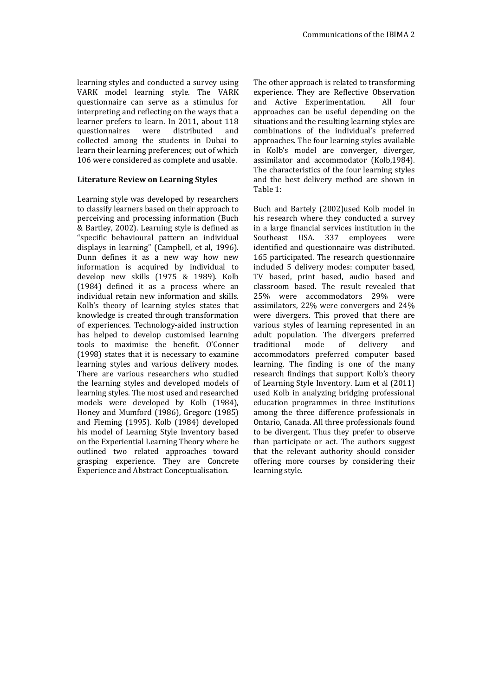learning styles and conducted a survey using VARK model learning style. The VARK questionnaire can serve as a stimulus for interpreting and reflecting on the ways that a learner prefers to learn. In 2011, about 118<br>questionnaires were distributed and questionnaires were distributed and collected among the students in Dubai to learn their learning preferences; out of which 106 were considered as complete and usable.

#### **Literature Review on Learning Styles**

Learning style was developed by researchers to classify learners based on their approach to perceiving and processing information (Buch & Bartley, 2002). Learning style is defined as "specific behavioural pattern an individual displays in learning" (Campbell, et al, 1996). Dunn defines it as a new way how new information is acquired by individual to develop new skills (1975 & 1989). Kolb (1984) defined it as a process where an individual retain new information and skills. Kolb's theory of learning styles states that knowledge is created through transformation of experiences. Technology-aided instruction has helped to develop customised learning tools to maximise the benefit. O'Conner (1998) states that it is necessary to examine learning styles and various delivery modes. There are various researchers who studied the learning styles and developed models of learning styles. The most used and researched models were developed by Kolb (1984), Honey and Mumford (1986), Gregorc (1985) and Fleming (1995). Kolb (1984) developed his model of Learning Style Inventory based on the Experiential Learning Theory where he outlined two related approaches toward grasping experience. They are Concrete Experience and Abstract Conceptualisation.

The other approach is related to transforming experience. They are Reflective Observation and Active Experimentation. All four approaches can be useful depending on the situations and the resulting learning styles are combinations of the individual's preferred approaches. The four learning styles available in Kolb's model are converger, diverger, assimilator and accommodator (Kolb,1984). The characteristics of the four learning styles and the best delivery method are shown in Table 1:

Buch and Bartely (2002)used Kolb model in his research where they conducted a survey in a large financial services institution in the Southeast USA. 337 employees were identified and questionnaire was distributed. 165 participated. The research questionnaire included 5 delivery modes: computer based, TV based, print based, audio based and classroom based. The result revealed that 25% were accommodators 29% were assimilators, 22% were convergers and 24% were divergers. This proved that there are various styles of learning represented in an adult population. The divergers preferred traditional mode of delivery and accommodators preferred computer based learning. The finding is one of the many research findings that support Kolb's theory of Learning Style Inventory. Lum et al (2011) used Kolb in analyzing bridging professional education programmes in three institutions among the three difference professionals in Ontario, Canada. All three professionals found to be divergent. Thus they prefer to observe than participate or act. The authors suggest that the relevant authority should consider offering more courses by considering their learning style.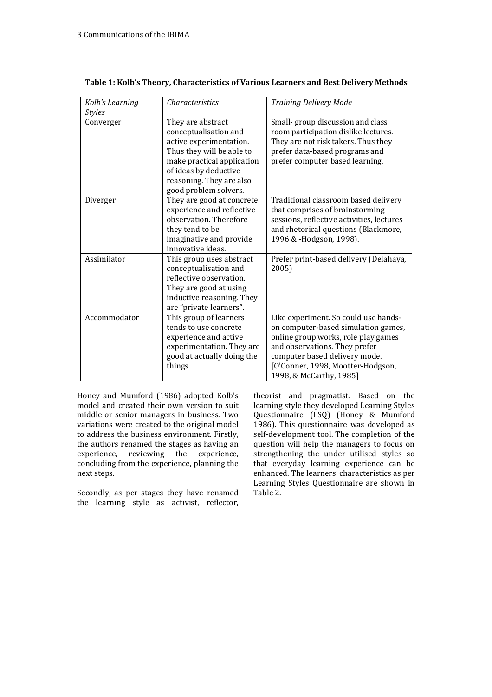| Kolb's Learning<br><b>Styles</b> | <b>Characteristics</b>                                                                                                                                                                                         | <b>Training Delivery Mode</b>                                                                                                                                                                                                                        |
|----------------------------------|----------------------------------------------------------------------------------------------------------------------------------------------------------------------------------------------------------------|------------------------------------------------------------------------------------------------------------------------------------------------------------------------------------------------------------------------------------------------------|
| Converger                        | They are abstract<br>conceptualisation and<br>active experimentation.<br>Thus they will be able to<br>make practical application<br>of ideas by deductive<br>reasoning. They are also<br>good problem solvers. | Small-group discussion and class<br>room participation dislike lectures.<br>They are not risk takers. Thus they<br>prefer data-based programs and<br>prefer computer based learning.                                                                 |
| Diverger                         | They are good at concrete<br>experience and reflective<br>observation. Therefore<br>they tend to be<br>imaginative and provide<br>innovative ideas.                                                            | Traditional classroom based delivery<br>that comprises of brainstorming<br>sessions, reflective activities, lectures<br>and rhetorical questions (Blackmore,<br>1996 & -Hodgson, 1998).                                                              |
| Assimilator                      | This group uses abstract<br>conceptualisation and<br>reflective observation.<br>They are good at using<br>inductive reasoning. They<br>are "private learners".                                                 | Prefer print-based delivery (Delahaya,<br>2005)                                                                                                                                                                                                      |
| Accommodator                     | This group of learners<br>tends to use concrete<br>experience and active<br>experimentation. They are<br>good at actually doing the<br>things.                                                                 | Like experiment. So could use hands-<br>on computer-based simulation games,<br>online group works, role play games<br>and observations. They prefer<br>computer based delivery mode.<br>[O'Conner, 1998, Mootter-Hodgson,<br>1998, & McCarthy, 1985] |

|  | Table 1: Kolb's Theory, Characteristics of Various Learners and Best Delivery Methods |  |
|--|---------------------------------------------------------------------------------------|--|
|  |                                                                                       |  |

Honey and Mumford (1986) adopted Kolb's model and created their own version to suit middle or senior managers in business. Two variations were created to the original model to address the business environment. Firstly, the authors renamed the stages as having an experience, reviewing the experience, concluding from the experience, planning the next steps.

Secondly, as per stages they have renamed the learning style as activist, reflector,

theorist and pragmatist. Based on the learning style they developed Learning Styles Questionnaire (LSQ) (Honey & Mumford 1986). This questionnaire was developed as self-development tool. The completion of the question will help the managers to focus on strengthening the under utilised styles so that everyday learning experience can be enhanced. The learners' characteristics as per Learning Styles Questionnaire are shown in Table 2.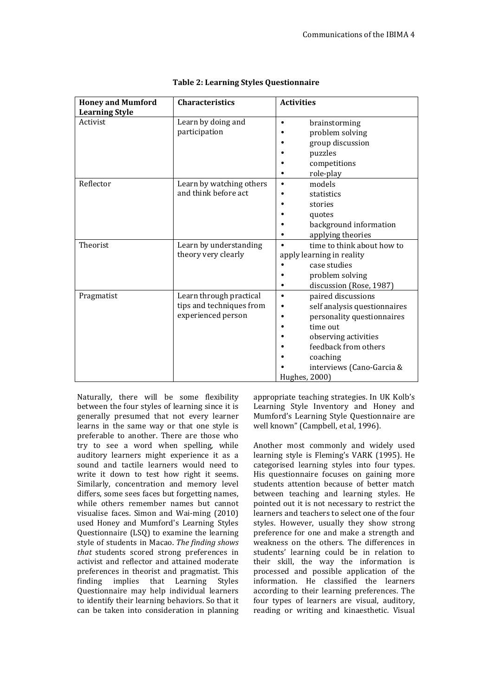| <b>Honey and Mumford</b> | <b>Characteristics</b>   | <b>Activities</b>               |
|--------------------------|--------------------------|---------------------------------|
| <b>Learning Style</b>    |                          |                                 |
| Activist                 | Learn by doing and       | brainstorming<br>$\bullet$      |
|                          | participation            | problem solving                 |
|                          |                          | group discussion                |
|                          |                          | puzzles                         |
|                          |                          | competitions                    |
|                          |                          | role-play                       |
| Reflector                | Learn by watching others | models                          |
|                          | and think before act     | statistics                      |
|                          |                          | stories                         |
|                          |                          | quotes                          |
|                          |                          | background information          |
|                          |                          | applying theories               |
| Theorist                 | Learn by understanding   | time to think about how to      |
|                          | theory very clearly      | apply learning in reality       |
|                          |                          | case studies                    |
|                          |                          | problem solving                 |
|                          |                          | discussion (Rose, 1987)         |
| Pragmatist               | Learn through practical  | paired discussions<br>$\bullet$ |
|                          | tips and techniques from | self analysis questionnaires    |
|                          | experienced person       | personality questionnaires      |
|                          |                          | time out                        |
|                          |                          | observing activities            |
|                          |                          | feedback from others            |
|                          |                          | coaching                        |
|                          |                          | interviews (Cano-Garcia &       |
|                          |                          | Hughes, 2000)                   |

| <b>Table 2: Learning Styles Questionnaire</b> |
|-----------------------------------------------|
|-----------------------------------------------|

Naturally, there will be some flexibility between the four styles of learning since it is generally presumed that not every learner learns in the same way or that one style is preferable to another. There are those who try to see a word when spelling, while auditory learners might experience it as a sound and tactile learners would need to write it down to test how right it seems. Similarly, concentration and memory level differs, some sees faces but forgetting names, while others remember names but cannot visualise faces. Simon and Wai-ming (2010) used Honey and Mumford's Learning Styles Questionnaire (LSQ) to examine the learning style of students in Macao. *The finding shows that* students scored strong preferences in activist and reflector and attained moderate preferences in theorist and pragmatist. This finding implies that Learning Styles Questionnaire may help individual learners to identify their learning behaviors. So that it can be taken into consideration in planning appropriate teaching strategies. In UK Kolb's Learning Style Inventory and Honey and Mumford's Learning Style Questionnaire are well known" (Campbell, et al, 1996).

Another most commonly and widely used learning style is Fleming's VARK (1995). He categorised learning styles into four types. His questionnaire focuses on gaining more students attention because of better match between teaching and learning styles. He pointed out it is not necessary to restrict the learners and teachers to select one of the four styles. However, usually they show strong preference for one and make a strength and weakness on the others. The differences in students' learning could be in relation to their skill, the way the information is processed and possible application of the information. He classified the learners according to their learning preferences. The four types of learners are visual, auditory, reading or writing and kinaesthetic. Visual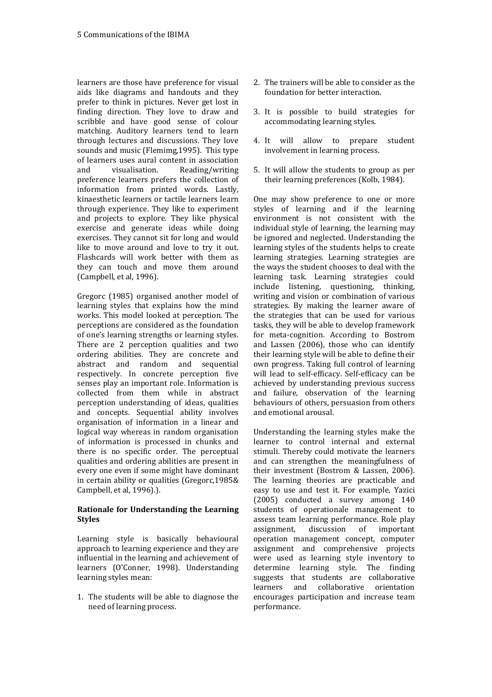learners are those have preference for visual aids like diagrams and handouts and they prefer to think in pictures. Never get lost in finding direction. They love to draw and scribble and have good sense of colour matching. Auditory learners tend to learn through lectures and discussions. They love sounds and music (Flemimg,1995). This type of learners uses aural content in association and visualisation. Reading/writing preference learners prefers the collection of information from printed words. Lastly, kinaesthetic learners or tactile learners learn through experience. They like to experiment and projects to explore. They like physical exercise and generate ideas while doing exercises. They cannot sit for long and would like to move around and love to try it out. Flashcards will work better with them as they can touch and move them around (Campbell, et al, 1996).

Gregorc (1985) organised another model of learning styles that explains how the mind works. This model looked at perception. The perceptions are considered as the foundation of one's learning strengths or learning styles. There are 2 perception qualities and two ordering abilities. They are concrete and abstract and random and sequential respectively. In concrete perception five senses play an important role. Information is collected from them while in abstract perception understanding of ideas, qualities and concepts. Sequential ability involves organisation of information in a linear and logical way whereas in random organisation of information is processed in chunks and there is no specific order. The perceptual qualities and ordering abilities are present in every one even if some might have dominant in certain ability or qualities (Gregorc,1985& Campbell, et al, 1996).).

### **Rationale for Understanding the Learning Styles**

Learning style is basically behavioural approach to learning experience and they are influential in the learning and achievement of learners (O'Conner, 1998). Understanding learning styles mean:

1. The students will be able to diagnose the need of learning process.

- 2. The trainers will be able to consider as the foundation for better interaction.
- 3. It is possible to build strategies for accommodating learning styles.
- 4. It will allow to prepare student involvement in learning process.
- 5. It will allow the students to group as per their learning preferences (Kolb, 1984).

One may show preference to one or more styles of learning and if the learning environment is not consistent with the individual style of learning, the learning may be ignored and neglected. Understanding the learning styles of the students helps to create learning strategies. Learning strategies are the ways the student chooses to deal with the learning task. Learning strategies could include listening, questioning, thinking, writing and vision or combination of various strategies. By making the learner aware of the strategies that can be used for various tasks, they will be able to develop framework for meta-cognition. According to Bostrom and Lassen (2006), those who can identify their learning style will be able to define their own progress. Taking full control of learning will lead to self-efficacy. Self-efficacy can be achieved by understanding previous success and failure, observation of the learning behaviours of others, persuasion from others and emotional arousal.

Understanding the learning styles make the learner to control internal and external stimuli. Thereby could motivate the learners and can strengthen the meaningfulness of their investment (Bostrom & Lassen, 2006). The learning theories are practicable and easy to use and test it. For example, Yazici (2005) conducted a survey among 140 students of operationale management to assess team learning performance. Role play assignment, discussion of important operation management concept, computer assignment and comprehensive projects were used as learning style inventory to determine learning style. The finding suggests that students are collaborative learners and collaborative orientation encourages participation and increase team performance.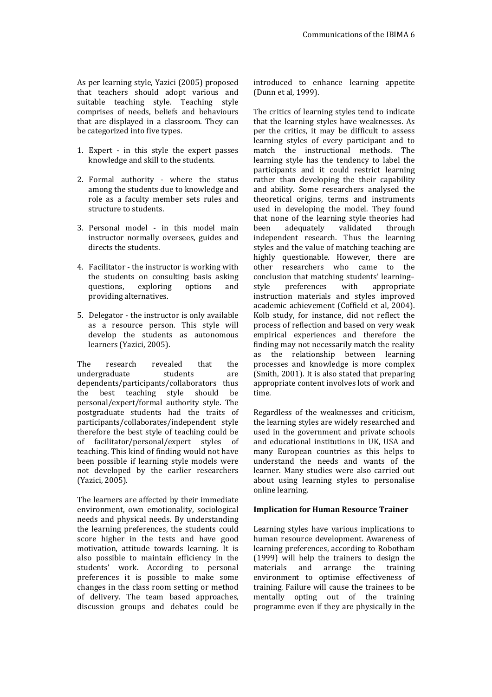As per learning style, Yazici (2005) proposed that teachers should adopt various and suitable teaching style. Teaching style comprises of needs, beliefs and behaviours that are displayed in a classroom. They can be categorized into five types.

- 1. Expert in this style the expert passes knowledge and skill to the students.
- 2. Formal authority where the status among the students due to knowledge and role as a faculty member sets rules and structure to students.
- 3. Personal model in this model main instructor normally oversees, guides and directs the students.
- 4. Facilitator the instructor is working with the students on consulting basis asking questions, exploring options and providing alternatives.
- 5. Delegator the instructor is only available as a resource person. This style will develop the students as autonomous learners (Yazici, 2005).

The research revealed that the undergraduate students are dependents/participants/collaborators thus the best teaching style should be personal/expert/formal authority style. The postgraduate students had the traits of participants/collaborates/independent style therefore the best style of teaching could be of facilitator/personal/expert styles of teaching. This kind of finding would not have been possible if learning style models were not developed by the earlier researchers (Yazici, 2005).

The learners are affected by their immediate environment, own emotionality, sociological needs and physical needs. By understanding the learning preferences, the students could score higher in the tests and have good motivation, attitude towards learning. It is also possible to maintain efficiency in the students' work. According to personal preferences it is possible to make some changes in the class room setting or method of delivery. The team based approaches, discussion groups and debates could be

introduced to enhance learning appetite (Dunn et al, 1999).

The critics of learning styles tend to indicate that the learning styles have weaknesses. As per the critics, it may be difficult to assess learning styles of every participant and to match the instructional methods. The learning style has the tendency to label the participants and it could restrict learning rather than developing the their capability and ability. Some researchers analysed the theoretical origins, terms and instruments used in developing the model. They found that none of the learning style theories had been adequately validated through independent research. Thus the learning styles and the value of matching teaching are highly questionable. However, there are other researchers who came to the conclusion that matching students' learning– style preferences with appropriate instruction materials and styles improved academic achievement (Coffield et al, 2004). Kolb study, for instance, did not reflect the process of reflection and based on very weak empirical experiences and therefore the finding may not necessarily match the reality as the relationship between learning processes and knowledge is more complex (Smith, 2001). It is also stated that preparing appropriate content involves lots of work and time.

Regardless of the weaknesses and criticism, the learning styles are widely researched and used in the government and private schools and educational institutions in UK, USA and many European countries as this helps to understand the needs and wants of the learner. Many studies were also carried out about using learning styles to personalise online learning.

#### **Implication for Human Resource Trainer**

Learning styles have various implications to human resource development. Awareness of learning preferences, according to Robotham (1999) will help the trainers to design the materials and arrange the training environment to optimise effectiveness of training. Failure will cause the trainees to be mentally opting out of the training programme even if they are physically in the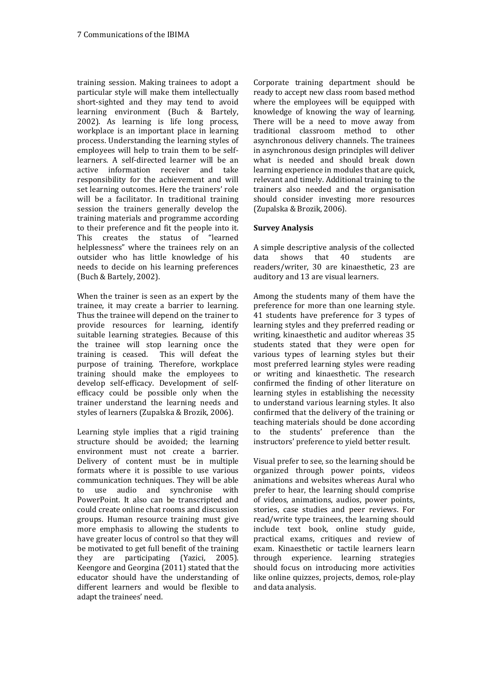training session. Making trainees to adopt a particular style will make them intellectually short-sighted and they may tend to avoid learning environment (Buch & Bartely, 2002). As learning is life long process, workplace is an important place in learning process. Understanding the learning styles of employees will help to train them to be selflearners. A self-directed learner will be an active information receiver and take responsibility for the achievement and will set learning outcomes. Here the trainers' role will be a facilitator. In traditional training session the trainers generally develop the training materials and programme according to their preference and fit the people into it. This creates the status of "learned helplessness" where the trainees rely on an outsider who has little knowledge of his needs to decide on his learning preferences (Buch & Bartely, 2002).

When the trainer is seen as an expert by the trainee, it may create a barrier to learning. Thus the trainee will depend on the trainer to provide resources for learning, identify suitable learning strategies. Because of this the trainee will stop learning once the training is ceased. This will defeat the This will defeat the purpose of training. Therefore, workplace training should make the employees to develop self-efficacy. Development of selfefficacy could be possible only when the trainer understand the learning needs and styles of learners (Zupalska & Brozik, 2006).

Learning style implies that a rigid training structure should be avoided; the learning environment must not create a barrier. Delivery of content must be in multiple formats where it is possible to use various communication techniques. They will be able to use audio and synchronise with PowerPoint. It also can be transcripted and could create online chat rooms and discussion groups. Human resource training must give more emphasis to allowing the students to have greater locus of control so that they will be motivated to get full benefit of the training they are participating (Yazici, 2005). Keengore and Georgina (2011) stated that the educator should have the understanding of different learners and would be flexible to adapt the trainees' need.

Corporate training department should be ready to accept new class room based method where the employees will be equipped with knowledge of knowing the way of learning. There will be a need to move away from traditional classroom method to other asynchronous delivery channels. The trainees in asynchronous design principles will deliver what is needed and should break down learning experience in modules that are quick, relevant and timely. Additional training to the trainers also needed and the organisation should consider investing more resources (Zupalska & Brozik, 2006).

## **Survey Analysis**

A simple descriptive analysis of the collected data shows that 40 students are readers/writer, 30 are kinaesthetic, 23 are auditory and 13 are visual learners.

Among the students many of them have the preference for more than one learning style. 41 students have preference for 3 types of learning styles and they preferred reading or writing, kinaesthetic and auditor whereas 35 students stated that they were open for various types of learning styles but their most preferred learning styles were reading or writing and kinaesthetic. The research confirmed the finding of other literature on learning styles in establishing the necessity to understand various learning styles. It also confirmed that the delivery of the training or teaching materials should be done according to the students' preference than the instructors' preference to yield better result.

Visual prefer to see, so the learning should be organized through power points, videos animations and websites whereas Aural who prefer to hear, the learning should comprise of videos, animations, audios, power points, stories, case studies and peer reviews. For read/write type trainees, the learning should include text book, online study guide, practical exams, critiques and review of exam. Kinaesthetic or tactile learners learn through experience. learning strategies should focus on introducing more activities like online quizzes, projects, demos, role-play and data analysis.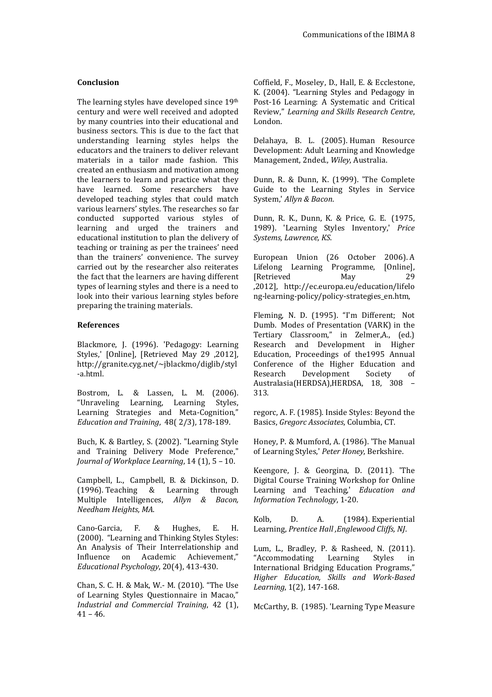#### **Conclusion**

The learning styles have developed since 19th century and were well received and adopted by many countries into their educational and business sectors. This is due to the fact that understanding learning styles helps the educators and the trainers to deliver relevant materials in a tailor made fashion. This created an enthusiasm and motivation among the learners to learn and practice what they have learned. Some researchers have developed teaching styles that could match various learners' styles. The researches so far conducted supported various styles of learning and urged the trainers and educational institution to plan the delivery of teaching or training as per the trainees' need than the trainers' convenience. The survey carried out by the researcher also reiterates the fact that the learners are having different types of learning styles and there is a need to look into their various learning styles before preparing the training materials.

#### **References**

Blackmore, J. (1996). 'Pedagogy: Learning Styles,' [Online], [Retrieved May 29 ,2012], http://granite.cyg.net/~jblackmo/diglib/styl -a.html.

Bostrom, L. & Lassen, L. M. (2006). "Unraveling Learning, Learning Styles, Learning Strategies and Meta-Cognition," *Education and Training*, 48( 2/3), 178-189.

Buch, K. & Bartley, S. (2002). "Learning Style and Training Delivery Mode Preference," *Journal of Workplace Learning*, 14 (1), 5 – 10.

Campbell, L., Campbell, B. & Dickinson, D. (1996). Teaching & Learning through Multiple Intelligences, *Allyn & Bacon, Needham Heights, MA*.

Cano-Garcia, F. & Hughes, E. H. (2000). "Learning and Thinking Styles Styles: An Analysis of Their Interrelationship and Influence on Academic Achievement," *Educational Psychology*, 20(4), 413-430.

Chan, S. C. H. & Mak, W.- M. (2010). "The Use of Learning Styles Questionnaire in Macao," *Industrial and Commercial Training*, 42 (1),  $41 - 46.$ 

Coffield, F., Moseley, D., Hall, E. & Ecclestone, K. (2004). "Learning Styles and Pedagogy in Post-16 Learning: A Systematic and Critical Review," *Learning and Skills Research Centre*, London.

Delahaya, B. L. (2005). Human Resource Development: Adult Learning and Knowledge Management, 2nded., *Wiley*, Australia.

Dunn, R. & Dunn, K. (1999). 'The Complete Guide to the Learning Styles in Service System,' *Allyn & Bacon*.

Dunn, R. K., Dunn, K. & Price, G. E. (1975, 1989). 'Learning Styles Inventory,' *Price Systems, Lawrence, KS*.

European Union (26 October 2006). A Lifelong Learning Programme, [Online], [Retrieved May 29 ,2012], http://ec.europa.eu/education/lifelo ng-learning-policy/policy-strategies\_en.htm,

Fleming, N. D. (1995). "I'm Different; Not Dumb. Modes of Presentation (VARK) in the Tertiary Classroom," in Zelmer,A., (ed.) Research and Development in Higher Education, Proceedings of the1995 Annual Conference of the Higher Education and Research Development Society of Australasia(HERDSA),HERDSA, 18, 308 – 313.

regorc, A. F. (1985). Inside Styles: Beyond the Basics, *Gregorc Associates*, Columbia, CT.

Honey, P. & Mumford, A. (1986). 'The Manual of Learning Styles,' *Peter Honey*, Berkshire.

Keengore, J. & Georgina, D. (2011). 'The Digital Course Training Workshop for Online Learning and Teaching,' *Education and Information Technology*, 1-20.

Kolb, D. A. (1984). Experiential Learning, *Prentice Hall ,Englewood Cliffs, NJ*.

Lum, L., Bradley, P. & Rasheed, N. (2011). "Accommodating Learning Styles in International Bridging Education Programs," *Higher Education, Skills and Work-Based Learning*, 1(2), 147-168.

McCarthy, B. (1985). 'Learning Type Measure